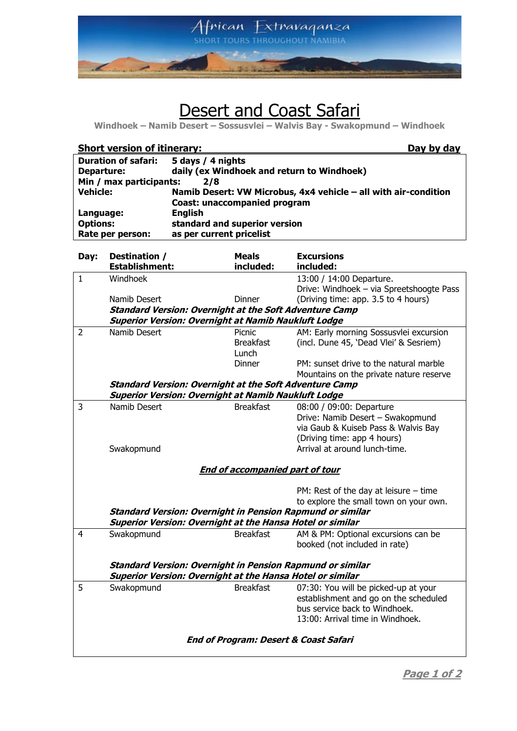

## Desert and Coast Safari

**Windhoek – Namib Desert – Sossusvlei – Walvis Bay - Swakopmund – Windhoek**

| <b>Short version of itinerary:</b> |                                                                 | Day by day |  |  |
|------------------------------------|-----------------------------------------------------------------|------------|--|--|
| <b>Duration of safari:</b>         | 5 days / 4 nights                                               |            |  |  |
| Departure:                         | daily (ex Windhoek and return to Windhoek)                      |            |  |  |
| Min / max participants:<br>2/8     |                                                                 |            |  |  |
| <b>Vehicle:</b>                    | Namib Desert: VW Microbus, 4x4 vehicle - all with air-condition |            |  |  |
|                                    | Coast: unaccompanied program                                    |            |  |  |
| Language:                          | <b>English</b>                                                  |            |  |  |
| <b>Options:</b>                    | standard and superior version                                   |            |  |  |
| Rate per person:                   | as per current pricelist                                        |            |  |  |

| Day:                                                       | Destination /                                                                                                                        | <b>Meals</b>     | <b>Excursions</b>                                                                 |  |  |  |
|------------------------------------------------------------|--------------------------------------------------------------------------------------------------------------------------------------|------------------|-----------------------------------------------------------------------------------|--|--|--|
|                                                            | <b>Establishment:</b>                                                                                                                | included:        | included:                                                                         |  |  |  |
| $\mathbf{1}$                                               | Windhoek                                                                                                                             |                  | 13:00 / 14:00 Departure.                                                          |  |  |  |
|                                                            |                                                                                                                                      |                  | Drive: Windhoek - via Spreetshoogte Pass                                          |  |  |  |
|                                                            | Namib Desert                                                                                                                         | Dinner           | (Driving time: app. 3.5 to 4 hours)                                               |  |  |  |
|                                                            | <b>Standard Version: Overnight at the Soft Adventure Camp</b>                                                                        |                  |                                                                                   |  |  |  |
| <b>Superior Version: Overnight at Namib Naukluft Lodge</b> |                                                                                                                                      |                  |                                                                                   |  |  |  |
| $\mathcal{P}$                                              | Namib Desert                                                                                                                         | <b>Picnic</b>    | AM: Early morning Sossusvlei excursion                                            |  |  |  |
|                                                            |                                                                                                                                      | <b>Breakfast</b> | (incl. Dune 45, 'Dead Vlei' & Sesriem)                                            |  |  |  |
|                                                            |                                                                                                                                      | Lunch            |                                                                                   |  |  |  |
|                                                            |                                                                                                                                      | <b>Dinner</b>    | PM: sunset drive to the natural marble                                            |  |  |  |
|                                                            |                                                                                                                                      |                  | Mountains on the private nature reserve                                           |  |  |  |
|                                                            | <b>Standard Version: Overnight at the Soft Adventure Camp</b>                                                                        |                  |                                                                                   |  |  |  |
| <b>Superior Version: Overnight at Namib Naukluft Lodge</b> |                                                                                                                                      |                  |                                                                                   |  |  |  |
| 3                                                          | Namib Desert                                                                                                                         | <b>Breakfast</b> | 08:00 / 09:00: Departure                                                          |  |  |  |
|                                                            |                                                                                                                                      |                  | Drive: Namib Desert - Swakopmund                                                  |  |  |  |
|                                                            |                                                                                                                                      |                  | via Gaub & Kuiseb Pass & Walvis Bay                                               |  |  |  |
|                                                            |                                                                                                                                      |                  | (Driving time: app 4 hours)<br>Arrival at around lunch-time.                      |  |  |  |
|                                                            | Swakopmund                                                                                                                           |                  |                                                                                   |  |  |  |
|                                                            | <b>End of accompanied part of tour</b>                                                                                               |                  |                                                                                   |  |  |  |
|                                                            |                                                                                                                                      |                  |                                                                                   |  |  |  |
|                                                            |                                                                                                                                      |                  | PM: Rest of the day at leisure $-$ time<br>to explore the small town on your own. |  |  |  |
|                                                            |                                                                                                                                      |                  |                                                                                   |  |  |  |
|                                                            | <b>Standard Version: Overnight in Pension Rapmund or similar</b><br><b>Superior Version: Overnight at the Hansa Hotel or similar</b> |                  |                                                                                   |  |  |  |
| 4                                                          | Swakopmund                                                                                                                           | <b>Breakfast</b> | AM & PM: Optional excursions can be                                               |  |  |  |
|                                                            |                                                                                                                                      |                  | booked (not included in rate)                                                     |  |  |  |
|                                                            |                                                                                                                                      |                  |                                                                                   |  |  |  |
|                                                            | <b>Standard Version: Overnight in Pension Rapmund or similar</b><br><b>Superior Version: Overnight at the Hansa Hotel or similar</b> |                  |                                                                                   |  |  |  |
|                                                            |                                                                                                                                      |                  |                                                                                   |  |  |  |
| 5                                                          | Swakopmund                                                                                                                           | <b>Breakfast</b> | 07:30: You will be picked-up at your                                              |  |  |  |
|                                                            |                                                                                                                                      |                  | establishment and go on the scheduled                                             |  |  |  |
|                                                            |                                                                                                                                      |                  | bus service back to Windhoek.                                                     |  |  |  |
|                                                            |                                                                                                                                      |                  | 13:00: Arrival time in Windhoek.                                                  |  |  |  |
|                                                            | <b>End of Program: Desert &amp; Coast Safari</b>                                                                                     |                  |                                                                                   |  |  |  |
|                                                            |                                                                                                                                      |                  |                                                                                   |  |  |  |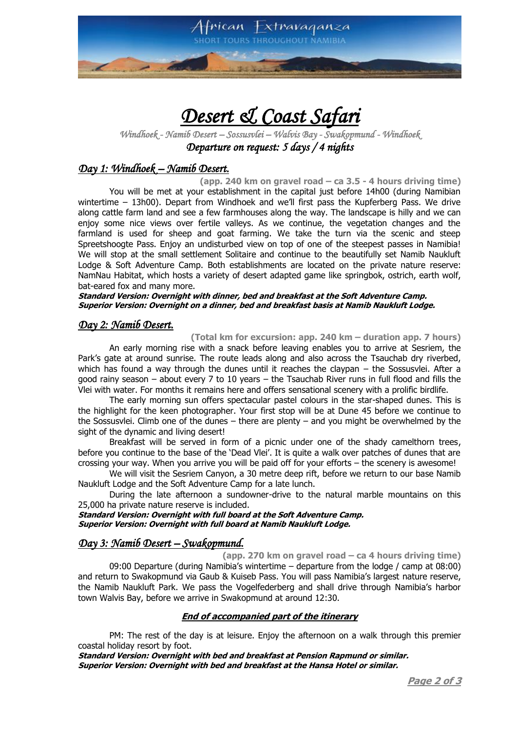

# *Desert & Coast Safari*

*Windhoek - Namib Desert – Sossusvlei – Walvis Bay - Swakopmund - Windhoek Departure on request: 5 days / 4 nights* 

## *Day 1: Windhoek – Namib Desert.*

**(app. 240 km on gravel road – ca 3.5 - 4 hours driving time)** You will be met at your establishment in the capital just before 14h00 (during Namibian wintertime – 13h00). Depart from Windhoek and we'll first pass the Kupferberg Pass. We drive along cattle farm land and see a few farmhouses along the way. The landscape is hilly and we can enjoy some nice views over fertile valleys. As we continue, the vegetation changes and the farmland is used for sheep and goat farming. We take the turn via the scenic and steep Spreetshoogte Pass. Enjoy an undisturbed view on top of one of the steepest passes in Namibia! We will stop at the small settlement Solitaire and continue to the beautifully set Namib Naukluft Lodge & Soft Adventure Camp. Both establishments are located on the private nature reserve: NamNau Habitat, which hosts a variety of desert adapted game like springbok, ostrich, earth wolf, bat-eared fox and many more.

#### **Standard Version: Overnight with dinner, bed and breakfast at the Soft Adventure Camp. Superior Version: Overnight on a dinner, bed and breakfast basis at Namib Naukluft Lodge.**

#### *Day 2: Namib Desert.*

**(Total km for excursion: app. 240 km – duration app. 7 hours)** An early morning rise with a snack before leaving enables you to arrive at Sesriem, the Park's gate at around sunrise. The route leads along and also across the Tsauchab dry riverbed, which has found a way through the dunes until it reaches the claypan – the Sossusvlei. After a good rainy season – about every 7 to 10 years – the Tsauchab River runs in full flood and fills the Vlei with water. For months it remains here and offers sensational scenery with a prolific birdlife.

The early morning sun offers spectacular pastel colours in the star-shaped dunes. This is the highlight for the keen photographer. Your first stop will be at Dune 45 before we continue to the Sossusvlei. Climb one of the dunes – there are plenty – and you might be overwhelmed by the sight of the dynamic and living desert!

Breakfast will be served in form of a picnic under one of the shady camelthorn trees, before you continue to the base of the 'Dead Vlei'. It is quite a walk over patches of dunes that are crossing your way. When you arrive you will be paid off for your efforts – the scenery is awesome!

We will visit the Sesriem Canyon, a 30 metre deep rift, before we return to our base Namib Naukluft Lodge and the Soft Adventure Camp for a late lunch.

During the late afternoon a sundowner-drive to the natural marble mountains on this 25,000 ha private nature reserve is included.

**Standard Version: Overnight with full board at the Soft Adventure Camp. Superior Version: Overnight with full board at Namib Naukluft Lodge.**

#### *Day 3: Namib Desert – Swakopmund.*

**(app. 270 km on gravel road – ca 4 hours driving time)** 09:00 Departure (during Namibia's wintertime – departure from the lodge / camp at 08:00) and return to Swakopmund via Gaub & Kuiseb Pass. You will pass Namibia's largest nature reserve, the Namib Naukluft Park. We pass the Vogelfederberg and shall drive through Namibia's harbor town Walvis Bay, before we arrive in Swakopmund at around 12:30.

#### **End of accompanied part of the itinerary**

PM: The rest of the day is at leisure. Enjoy the afternoon on a walk through this premier coastal holiday resort by foot.

**Standard Version: Overnight with bed and breakfast at Pension Rapmund or similar. Superior Version: Overnight with bed and breakfast at the Hansa Hotel or similar.**